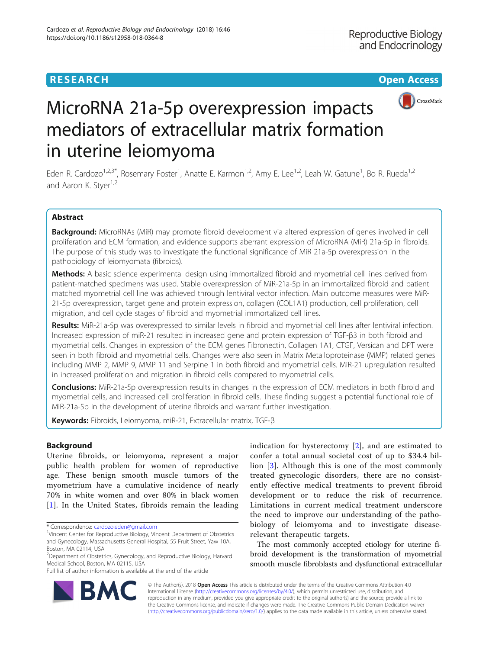

# MicroRNA 21a-5p overexpression impacts mediators of extracellular matrix formation in uterine leiomyoma

Eden R. Cardozo<sup>1,2,3\*</sup>, Rosemary Foster<sup>1</sup>, Anatte E. Karmon<sup>1,2</sup>, Amy E. Lee<sup>1,2</sup>, Leah W. Gatune<sup>1</sup>, Bo R. Rueda<sup>1,2</sup> and Aaron K. Styer<sup>1,2</sup>

# Abstract

Background: MicroRNAs (MiR) may promote fibroid development via altered expression of genes involved in cell proliferation and ECM formation, and evidence supports aberrant expression of MicroRNA (MiR) 21a-5p in fibroids. The purpose of this study was to investigate the functional significance of MiR 21a-5p overexpression in the pathobiology of leiomyomata (fibroids).

Methods: A basic science experimental design using immortalized fibroid and myometrial cell lines derived from patient-matched specimens was used. Stable overexpression of MiR-21a-5p in an immortalized fibroid and patient matched myometrial cell line was achieved through lentiviral vector infection. Main outcome measures were MiR-21-5p overexpression, target gene and protein expression, collagen (COL1A1) production, cell proliferation, cell migration, and cell cycle stages of fibroid and myometrial immortalized cell lines.

Results: MiR-21a-5p was overexpressed to similar levels in fibroid and myometrial cell lines after lentiviral infection. Increased expression of miR-21 resulted in increased gene and protein expression of TGF-β3 in both fibroid and myometrial cells. Changes in expression of the ECM genes Fibronectin, Collagen 1A1, CTGF, Versican and DPT were seen in both fibroid and myometrial cells. Changes were also seen in Matrix Metalloproteinase (MMP) related genes including MMP 2, MMP 9, MMP 11 and Serpine 1 in both fibroid and myometrial cells. MiR-21 upregulation resulted in increased proliferation and migration in fibroid cells compared to myometrial cells.

**Conclusions:** MiR-21a-5p overexpression results in changes in the expression of ECM mediators in both fibroid and myometrial cells, and increased cell proliferation in fibroid cells. These finding suggest a potential functional role of MiR-21a-5p in the development of uterine fibroids and warrant further investigation.

Keywords: Fibroids, Leiomyoma, miR-21, Extracellular matrix, TGF-β

# Background

Uterine fibroids, or leiomyoma, represent a major public health problem for women of reproductive age. These benign smooth muscle tumors of the myometrium have a cumulative incidence of nearly 70% in white women and over 80% in black women [[1](#page-9-0)]. In the United States, fibroids remain the leading

Full list of author information is available at the end of the article

indication for hysterectomy [[2\]](#page-9-0), and are estimated to confer a total annual societal cost of up to \$34.4 billion [[3\]](#page-9-0). Although this is one of the most commonly treated gynecologic disorders, there are no consistently effective medical treatments to prevent fibroid development or to reduce the risk of recurrence. Limitations in current medical treatment underscore the need to improve our understanding of the pathobiology of leiomyoma and to investigate diseaserelevant therapeutic targets.

The most commonly accepted etiology for uterine fibroid development is the transformation of myometrial smooth muscle fibroblasts and dysfunctional extracellular



© The Author(s). 2018 Open Access This article is distributed under the terms of the Creative Commons Attribution 4.0 International License [\(http://creativecommons.org/licenses/by/4.0/](http://creativecommons.org/licenses/by/4.0/)), which permits unrestricted use, distribution, and reproduction in any medium, provided you give appropriate credit to the original author(s) and the source, provide a link to the Creative Commons license, and indicate if changes were made. The Creative Commons Public Domain Dedication waiver [\(http://creativecommons.org/publicdomain/zero/1.0/](http://creativecommons.org/publicdomain/zero/1.0/)) applies to the data made available in this article, unless otherwise stated.

<sup>\*</sup> Correspondence: [cardozo.eden@gmail.com](mailto:cardozo.eden@gmail.com) <sup>1</sup>

<sup>&</sup>lt;sup>1</sup>Vincent Center for Reproductive Biology, Vincent Department of Obstetrics and Gynecology, Massachusetts General Hospital, 55 Fruit Street, Yaw 10A, Boston, MA 02114, USA

<sup>&</sup>lt;sup>2</sup>Department of Obstetrics, Gynecology, and Reproductive Biology, Harvard Medical School, Boston, MA 02115, USA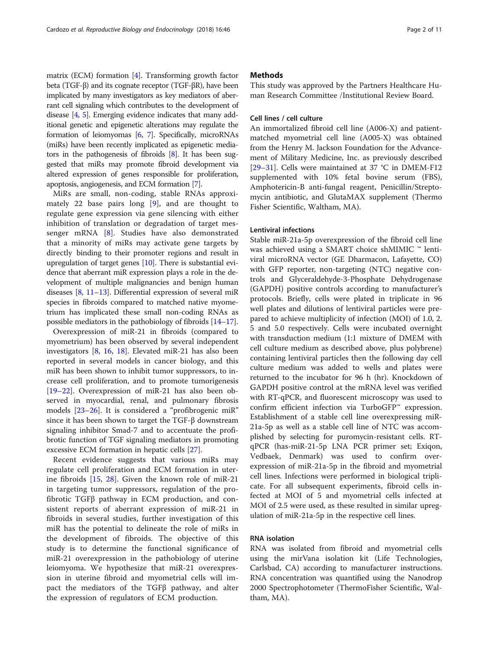matrix (ECM) formation [[4](#page-9-0)]. Transforming growth factor beta (TGF-β) and its cognate receptor (TGF-βR), have been implicated by many investigators as key mediators of aberrant cell signaling which contributes to the development of disease [\[4](#page-9-0), [5](#page-9-0)]. Emerging evidence indicates that many additional genetic and epigenetic alterations may regulate the formation of leiomyomas [[6](#page-9-0), [7\]](#page-9-0). Specifically, microRNAs (miRs) have been recently implicated as epigenetic mediators in the pathogenesis of fibroids [\[8](#page-9-0)]. It has been suggested that miRs may promote fibroid development via altered expression of genes responsible for proliferation, apoptosis, angiogenesis, and ECM formation [[7\]](#page-9-0).

MiRs are small, non-coding, stable RNAs approximately 22 base pairs long [[9\]](#page-9-0), and are thought to regulate gene expression via gene silencing with either inhibition of translation or degradation of target messenger mRNA [[8\]](#page-9-0). Studies have also demonstrated that a minority of miRs may activate gene targets by directly binding to their promoter regions and result in upregulation of target genes  $[10]$ . There is substantial evidence that aberrant miR expression plays a role in the development of multiple malignancies and benign human diseases [[8,](#page-9-0) [11](#page-9-0)–[13](#page-9-0)]. Differential expression of several miR species in fibroids compared to matched native myometrium has implicated these small non-coding RNAs as possible mediators in the pathobiology of fibroids [[14](#page-9-0)–[17\]](#page-9-0).

Overexpression of miR-21 in fibroids (compared to myometrium) has been observed by several independent investigators [\[8](#page-9-0), [16](#page-9-0), [18](#page-9-0)]. Elevated miR-21 has also been reported in several models in cancer biology, and this miR has been shown to inhibit tumor suppressors, to increase cell proliferation, and to promote tumorigenesis [[19](#page-9-0)–[22](#page-9-0)]. Overexpression of miR-21 has also been observed in myocardial, renal, and pulmonary fibrosis models [\[23](#page-9-0)–[26](#page-9-0)]. It is considered a "profibrogenic miR" since it has been shown to target the TGF-β downstream signaling inhibitor Smad-7 and to accentuate the profibrotic function of TGF signaling mediators in promoting excessive ECM formation in hepatic cells [\[27](#page-9-0)].

Recent evidence suggests that various miRs may regulate cell proliferation and ECM formation in uterine fibroids [[15,](#page-9-0) [28](#page-9-0)]. Given the known role of miR-21 in targeting tumor suppressors, regulation of the profibrotic TGFβ pathway in ECM production, and consistent reports of aberrant expression of miR-21 in fibroids in several studies, further investigation of this miR has the potential to delineate the role of miRs in the development of fibroids. The objective of this study is to determine the functional significance of miR-21 overexpression in the pathobiology of uterine leiomyoma. We hypothesize that miR-21 overexpression in uterine fibroid and myometrial cells will impact the mediators of the TGFβ pathway, and alter the expression of regulators of ECM production.

# **Methods**

This study was approved by the Partners Healthcare Human Research Committee /Institutional Review Board.

## Cell lines / cell culture

An immortalized fibroid cell line (A006-X) and patientmatched myometrial cell line (A005-X) was obtained from the Henry M. Jackson Foundation for the Advancement of Military Medicine, Inc. as previously described [[29](#page-9-0)–[31](#page-9-0)]. Cells were maintained at 37 °C in DMEM-F12 supplemented with 10% fetal bovine serum (FBS), Amphotericin-B anti-fungal reagent, Penicillin/Streptomycin antibiotic, and GlutaMAX supplement (Thermo Fisher Scientific, Waltham, MA).

# Lentiviral infections

Stable miR-21a-5p overexpression of the fibroid cell line was achieved using a SMART choice shMIMIC ™ lentiviral microRNA vector (GE Dharmacon, Lafayette, CO) with GFP reporter, non-targeting (NTC) negative controls and Glyceraldehyde-3-Phosphate Dehydrogenase (GAPDH) positive controls according to manufacturer's protocols. Briefly, cells were plated in triplicate in 96 well plates and dilutions of lentiviral particles were prepared to achieve multiplicity of infection (MOI) of 1.0, 2. 5 and 5.0 respectively. Cells were incubated overnight with transduction medium (1:1 mixture of DMEM with cell culture medium as described above, plus polybrene) containing lentiviral particles then the following day cell culture medium was added to wells and plates were returned to the incubator for 96 h (hr). Knockdown of GAPDH positive control at the mRNA level was verified with RT-qPCR, and fluorescent microscopy was used to confirm efficient infection via TurboGFP™ expression. Establishment of a stable cell line overexpressing miR-21a-5p as well as a stable cell line of NTC was accomplished by selecting for puromycin-resistant cells. RTqPCR (has-miR-21-5p LNA PCR primer set; Exiqon, Vedbaek, Denmark) was used to confirm overexpression of miR-21a-5p in the fibroid and myometrial cell lines. Infections were performed in biological triplicate. For all subsequent experiments, fibroid cells infected at MOI of 5 and myometrial cells infected at MOI of 2.5 were used, as these resulted in similar upregulation of miR-21a-5p in the respective cell lines.

# RNA isolation

RNA was isolated from fibroid and myometrial cells using the mirVana isolation kit (Life Technologies, Carlsbad, CA) according to manufacturer instructions. RNA concentration was quantified using the Nanodrop 2000 Spectrophotometer (ThermoFisher Scientific, Waltham, MA).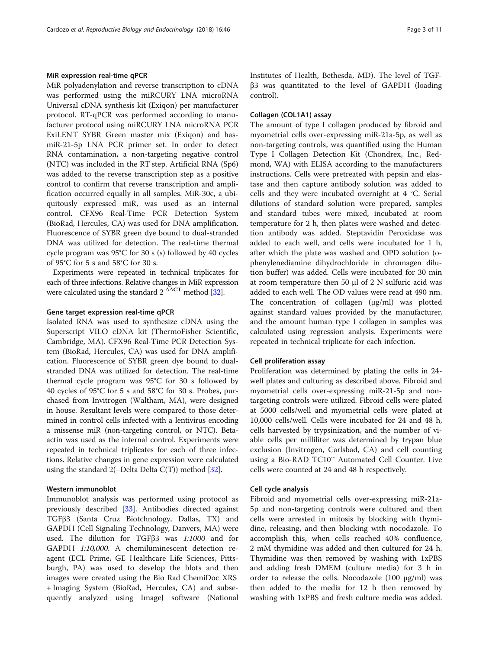# MiR expression real-time qPCR

MiR polyadenylation and reverse transcription to cDNA was performed using the miRCURY LNA microRNA Universal cDNA synthesis kit (Exiqon) per manufacturer protocol. RT-qPCR was performed according to manufacturer protocol using miRCURY LNA microRNA PCR ExiLENT SYBR Green master mix (Exiqon) and hasmiR-21-5p LNA PCR primer set. In order to detect RNA contamination, a non-targeting negative control (NTC) was included in the RT step. Artificial RNA (Sp6) was added to the reverse transcription step as a positive control to confirm that reverse transcription and amplification occurred equally in all samples. MiR-30c, a ubiquitously expressed miR, was used as an internal control. CFX96 Real-Time PCR Detection System (BioRad, Hercules, CA) was used for DNA amplification. Fluorescence of SYBR green dye bound to dual-stranded DNA was utilized for detection. The real-time thermal cycle program was 95°C for 30 s (s) followed by 40 cycles of 95°C for 5 s and 58°C for 30 s.

Experiments were repeated in technical triplicates for each of three infections. Relative changes in MiR expression were calculated using the standard  $2^{-\Delta\Delta}$  method [\[32\]](#page-9-0).

# Gene target expression real-time qPCR

Isolated RNA was used to synthesize cDNA using the Superscript VILO cDNA kit (ThermoFisher Scientific, Cambridge, MA). CFX96 Real-Time PCR Detection System (BioRad, Hercules, CA) was used for DNA amplification. Fluorescence of SYBR green dye bound to dualstranded DNA was utilized for detection. The real-time thermal cycle program was 95°C for 30 s followed by 40 cycles of 95°C for 5 s and 58°C for 30 s. Probes, purchased from Invitrogen (Waltham, MA), were designed in house. Resultant levels were compared to those determined in control cells infected with a lentivirus encoding a missense miR (non-targeting control, or NTC). Betaactin was used as the internal control. Experiments were repeated in technical triplicates for each of three infections. Relative changes in gene expression were calculated using the standard 2(−Delta Delta C(T)) method [\[32\]](#page-9-0).

# Western immunoblot

Immunoblot analysis was performed using protocol as previously described [[33\]](#page-9-0). Antibodies directed against TGFβ3 (Santa Cruz Biotchnology, Dallas, TX) and GAPDH (Cell Signaling Technology, Danvers, MA) were used. The dilution for TGFβ3 was 1:1000 and for GAPDH 1:10,000. A chemiluminescent detection reagent (ECL Prime, GE Healthcare Life Sciences, Pittsburgh, PA) was used to develop the blots and then images were created using the Bio Rad ChemiDoc XRS + Imaging System (BioRad, Hercules, CA) and subsequently analyzed using ImageJ software (National Institutes of Health, Bethesda, MD). The level of TGFβ3 was quantitated to the level of GAPDH (loading control).

# Collagen (COL1A1) assay

The amount of type I collagen produced by fibroid and myometrial cells over-expressing miR-21a-5p, as well as non-targeting controls, was quantified using the Human Type I Collagen Detection Kit (Chondrex, Inc., Redmond, WA) with ELISA according to the manufacturers instructions. Cells were pretreated with pepsin and elastase and then capture antibody solution was added to cells and they were incubated overnight at 4 °C. Serial dilutions of standard solution were prepared, samples and standard tubes were mixed, incubated at room temperature for 2 h, then plates were washed and detection antibody was added. Steptavidin Peroxidase was added to each well, and cells were incubated for 1 h, after which the plate was washed and OPD solution (ophenylenediamine dihydrochloride in chromagen dilution buffer) was added. Cells were incubated for 30 min at room temperature then 50 μl of 2 N sulfuric acid was added to each well. The OD values were read at 490 nm. The concentration of collagen (μg/ml) was plotted against standard values provided by the manufacturer, and the amount human type I collagen in samples was calculated using regression analysis. Experiments were repeated in technical triplicate for each infection.

# Cell proliferation assay

Proliferation was determined by plating the cells in 24 well plates and culturing as described above. Fibroid and myometrial cells over-expressing miR-21-5p and nontargeting controls were utilized. Fibroid cells were plated at 5000 cells/well and myometrial cells were plated at 10,000 cells/well. Cells were incubated for 24 and 48 h, cells harvested by trypsinization, and the number of viable cells per milliliter was determined by trypan blue exclusion (Invitrogen, Carlsbad, CA) and cell counting using a Bio-RAD TC10™ Automated Cell Counter. Live cells were counted at 24 and 48 h respectively.

# Cell cycle analysis

Fibroid and myometrial cells over-expressing miR-21a-5p and non-targeting controls were cultured and then cells were arrested in mitosis by blocking with thymidine, releasing, and then blocking with nocodazole. To accomplish this, when cells reached 40% confluence, 2 mM thymidine was added and then cultured for 24 h. Thymidine was then removed by washing with 1xPBS and adding fresh DMEM (culture media) for 3 h in order to release the cells. Nocodazole  $(100 \mu g/ml)$  was then added to the media for 12 h then removed by washing with 1xPBS and fresh culture media was added.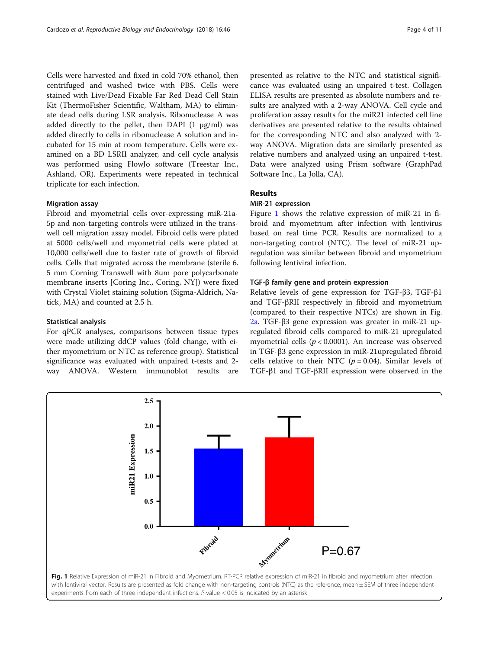Cells were harvested and fixed in cold 70% ethanol, then centrifuged and washed twice with PBS. Cells were stained with Live/Dead Fixable Far Red Dead Cell Stain Kit (ThermoFisher Scientific, Waltham, MA) to eliminate dead cells during LSR analysis. Ribonuclease A was added directly to the pellet, then DAPI  $(1 \mu g/ml)$  was added directly to cells in ribonuclease A solution and incubated for 15 min at room temperature. Cells were examined on a BD LSRII analyzer, and cell cycle analysis was performed using FlowJo software (Treestar Inc., Ashland, OR). Experiments were repeated in technical triplicate for each infection.

# Migration assay

Fibroid and myometrial cells over-expressing miR-21a-5p and non-targeting controls were utilized in the transwell cell migration assay model. Fibroid cells were plated at 5000 cells/well and myometrial cells were plated at 10,000 cells/well due to faster rate of growth of fibroid cells. Cells that migrated across the membrane (sterile 6. 5 mm Corning Transwell with 8um pore polycarbonate membrane inserts [Coring Inc., Coring, NY]) were fixed with Crystal Violet staining solution (Sigma-Aldrich, Natick, MA) and counted at 2.5 h.

## Statistical analysis

For qPCR analyses, comparisons between tissue types were made utilizing ddCP values (fold change, with either myometrium or NTC as reference group). Statistical significance was evaluated with unpaired t-tests and 2 way ANOVA. Western immunoblot results are

presented as relative to the NTC and statistical significance was evaluated using an unpaired t-test. Collagen ELISA results are presented as absolute numbers and results are analyzed with a 2-way ANOVA. Cell cycle and proliferation assay results for the miR21 infected cell line derivatives are presented relative to the results obtained for the corresponding NTC and also analyzed with 2 way ANOVA. Migration data are similarly presented as relative numbers and analyzed using an unpaired t-test. Data were analyzed using Prism software (GraphPad Software Inc., La Jolla, CA).

# Results

# MiR-21 expression

Figure 1 shows the relative expression of miR-21 in fibroid and myometrium after infection with lentivirus based on real time PCR. Results are normalized to a non-targeting control (NTC). The level of miR-21 upregulation was similar between fibroid and myometrium following lentiviral infection.

# TGF-β family gene and protein expression

Relative levels of gene expression for TGF-β3, TGF-β1 and TGF-βRII respectively in fibroid and myometrium (compared to their respective NTCs) are shown in Fig. [2a](#page-4-0). TGF-β3 gene expression was greater in miR-21 upregulated fibroid cells compared to miR-21 upregulated myometrial cells ( $p < 0.0001$ ). An increase was observed in TGF-β3 gene expression in miR-21upregulated fibroid cells relative to their NTC ( $p = 0.04$ ). Similar levels of TGF-β1 and TGF-βRII expression were observed in the

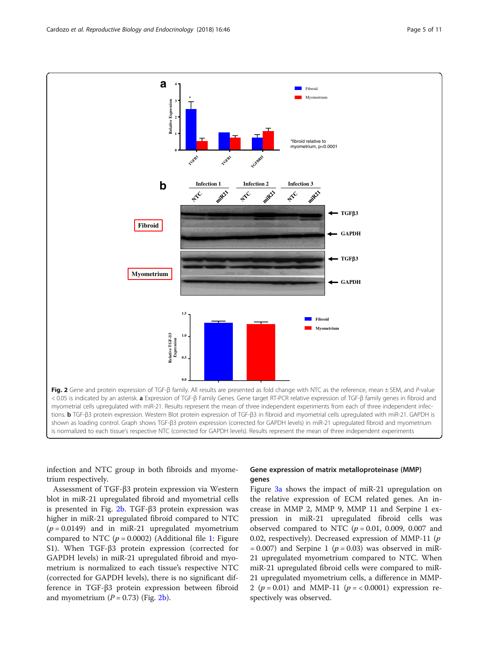<span id="page-4-0"></span>

infection and NTC group in both fibroids and myometrium respectively.

Assessment of TGF-β3 protein expression via Western blot in miR-21 upregulated fibroid and myometrial cells is presented in Fig. 2b. TGF-β3 protein expression was higher in miR-21 upregulated fibroid compared to NTC  $(p = 0.0149)$  and in miR-21 upregulated myometrium compared to NTC ( $p = 0.0002$ ) (Additional file [1](#page-8-0): Figure S1). When TGF-β3 protein expression (corrected for GAPDH levels) in miR-21 upregulated fibroid and myometrium is normalized to each tissue's respective NTC (corrected for GAPDH levels), there is no significant difference in TGF-β3 protein expression between fibroid and myometrium  $(P = 0.73)$  (Fig. 2b).

# Gene expression of matrix metalloproteinase (MMP) genes

Figure [3a](#page-5-0) shows the impact of miR-21 upregulation on the relative expression of ECM related genes. An increase in MMP 2, MMP 9, MMP 11 and Serpine 1 expression in miR-21 upregulated fibroid cells was observed compared to NTC ( $p = 0.01$ , 0.009, 0.007 and 0.02, respectively). Decreased expression of MMP-11 ( $p$ )  $= 0.007$ ) and Serpine 1 ( $p = 0.03$ ) was observed in miR-21 upregulated myometrium compared to NTC. When miR-21 upregulated fibroid cells were compared to miR-21 upregulated myometrium cells, a difference in MMP-2 ( $p = 0.01$ ) and MMP-11 ( $p = < 0.0001$ ) expression respectively was observed.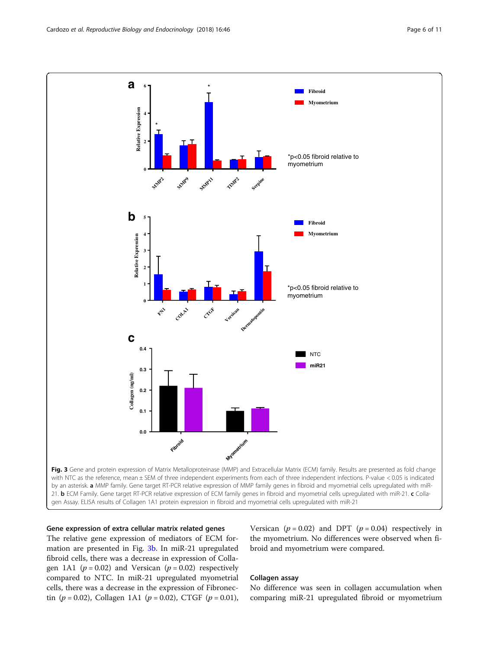<span id="page-5-0"></span>

## Gene expression of extra cellular matrix related genes

The relative gene expression of mediators of ECM formation are presented in Fig. 3b. In miR-21 upregulated fibroid cells, there was a decrease in expression of Collagen 1A1 ( $p = 0.02$ ) and Versican ( $p = 0.02$ ) respectively compared to NTC. In miR-21 upregulated myometrial cells, there was a decrease in the expression of Fibronectin ( $p = 0.02$ ), Collagen 1A1 ( $p = 0.02$ ), CTGF ( $p = 0.01$ ), Versican ( $p = 0.02$ ) and DPT ( $p = 0.04$ ) respectively in the myometrium. No differences were observed when fibroid and myometrium were compared.

# Collagen assay

No difference was seen in collagen accumulation when comparing miR-21 upregulated fibroid or myometrium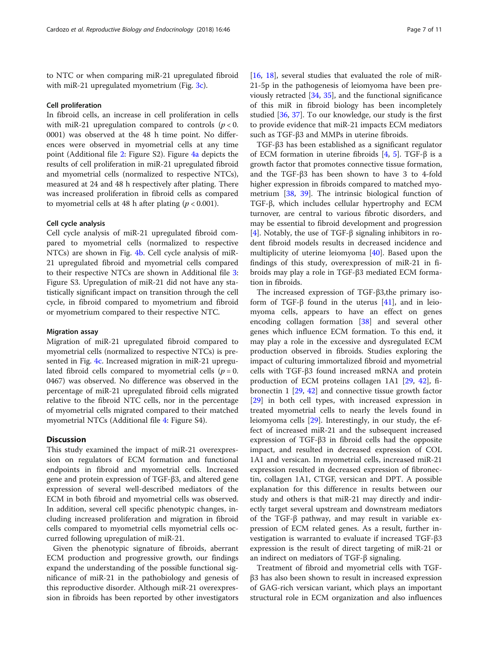to NTC or when comparing miR-21 upregulated fibroid with miR-21 upregulated myometrium (Fig. [3c\)](#page-5-0).

#### Cell proliferation

In fibroid cells, an increase in cell proliferation in cells with miR-21 upregulation compared to controls ( $p < 0$ . 0001) was observed at the 48 h time point. No differences were observed in myometrial cells at any time point (Additional file [2](#page-8-0): Figure S2). Figure [4a](#page-7-0) depicts the results of cell proliferation in miR-21 upregulated fibroid and myometrial cells (normalized to respective NTCs), measured at 24 and 48 h respectively after plating. There was increased proliferation in fibroid cells as compared to myometrial cells at 48 h after plating ( $p < 0.001$ ).

## Cell cycle analysis

Cell cycle analysis of miR-21 upregulated fibroid compared to myometrial cells (normalized to respective NTCs) are shown in Fig. [4b](#page-7-0). Cell cycle analysis of miR-21 upregulated fibroid and myometrial cells compared to their respective NTCs are shown in Additional file [3](#page-8-0): Figure S3. Upregulation of miR-21 did not have any statistically significant impact on transition through the cell cycle, in fibroid compared to myometrium and fibroid or myometrium compared to their respective NTC.

## Migration assay

Migration of miR-21 upregulated fibroid compared to myometrial cells (normalized to respective NTCs) is presented in Fig. [4c](#page-7-0). Increased migration in miR-21 upregulated fibroid cells compared to myometrial cells ( $p = 0$ . 0467) was observed. No difference was observed in the percentage of miR-21 upregulated fibroid cells migrated relative to the fibroid NTC cells, nor in the percentage of myometrial cells migrated compared to their matched myometrial NTCs (Additional file [4](#page-8-0): Figure S4).

# **Discussion**

This study examined the impact of miR-21 overexpression on regulators of ECM formation and functional endpoints in fibroid and myometrial cells. Increased gene and protein expression of TGF-β3, and altered gene expression of several well-described mediators of the ECM in both fibroid and myometrial cells was observed. In addition, several cell specific phenotypic changes, including increased proliferation and migration in fibroid cells compared to myometrial cells myometrial cells occurred following upregulation of miR-21.

Given the phenotypic signature of fibroids, aberrant ECM production and progressive growth, our findings expand the understanding of the possible functional significance of miR-21 in the pathobiology and genesis of this reproductive disorder. Although miR-21 overexpression in fibroids has been reported by other investigators [[16,](#page-9-0) [18\]](#page-9-0), several studies that evaluated the role of miR-21-5p in the pathogenesis of leiomyoma have been previously retracted [[34,](#page-9-0) [35\]](#page-9-0), and the functional significance of this miR in fibroid biology has been incompletely studied [[36](#page-9-0), [37\]](#page-9-0). To our knowledge, our study is the first to provide evidence that miR-21 impacts ECM mediators such as TGF-β3 and MMPs in uterine fibroids.

TGF-β3 has been established as a significant regulator of ECM formation in uterine fibroids  $[4, 5]$  $[4, 5]$  $[4, 5]$  $[4, 5]$ . TGF-β is a growth factor that promotes connective tissue formation, and the TGF-β3 has been shown to have 3 to 4-fold higher expression in fibroids compared to matched myometrium [[38](#page-9-0), [39\]](#page-9-0). The intrinsic biological function of TGF-β, which includes cellular hypertrophy and ECM turnover, are central to various fibrotic disorders, and may be essential to fibroid development and progression [[4\]](#page-9-0). Notably, the use of TGF-β signaling inhibitors in rodent fibroid models results in decreased incidence and multiplicity of uterine leiomyoma [\[40\]](#page-9-0). Based upon the findings of this study, overexpression of miR-21 in fibroids may play a role in TGF-β3 mediated ECM formation in fibroids.

The increased expression of TGF-β3,the primary isoform of TGF-β found in the uterus [[41\]](#page-10-0), and in leiomyoma cells, appears to have an effect on genes encoding collagen formation [\[38\]](#page-9-0) and several other genes which influence ECM formation. To this end, it may play a role in the excessive and dysregulated ECM production observed in fibroids. Studies exploring the impact of culturing immortalized fibroid and myometrial cells with TGF-β3 found increased mRNA and protein production of ECM proteins collagen 1A1 [\[29](#page-9-0), [42\]](#page-10-0), fibronectin 1 [[29,](#page-9-0) [42](#page-10-0)] and connective tissue growth factor [[29\]](#page-9-0) in both cell types, with increased expression in treated myometrial cells to nearly the levels found in leiomyoma cells [[29\]](#page-9-0). Interestingly, in our study, the effect of increased miR-21 and the subsequent increased expression of TGF-β3 in fibroid cells had the opposite impact, and resulted in decreased expression of COL 1A1 and versican. In myometrial cells, increased miR-21 expression resulted in decreased expression of fibronectin, collagen 1A1, CTGF, versican and DPT. A possible explanation for this difference in results between our study and others is that miR-21 may directly and indirectly target several upstream and downstream mediators of the TGF-β pathway, and may result in variable expression of ECM related genes. As a result, further investigation is warranted to evaluate if increased TGF-β3 expression is the result of direct targeting of miR-21 or an indirect on mediators of TGF-β signaling.

Treatment of fibroid and myometrial cells with TGFβ3 has also been shown to result in increased expression of GAG-rich versican variant, which plays an important structural role in ECM organization and also influences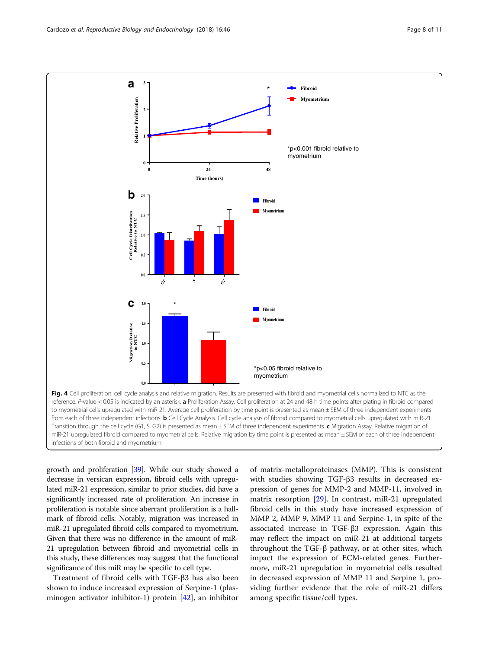<span id="page-7-0"></span>

growth and proliferation [[39](#page-9-0)]. While our study showed a decrease in versican expression, fibroid cells with upregulated miR-21 expression, similar to prior studies, did have a significantly increased rate of proliferation. An increase in proliferation is notable since aberrant proliferation is a hallmark of fibroid cells. Notably, migration was increased in miR-21 upregulated fibroid cells compared to myometrium. Given that there was no difference in the amount of miR-21 upregulation between fibroid and myometrial cells in this study, these differences may suggest that the functional significance of this miR may be specific to cell type.

Treatment of fibroid cells with TGF-β3 has also been shown to induce increased expression of Serpine-1 (plasminogen activator inhibitor-1) protein [[42](#page-10-0)], an inhibitor

of matrix-metalloproteinases (MMP). This is consistent with studies showing TGF-β3 results in decreased expression of genes for MMP-2 and MMP-11, involved in matrix resorption [[29\]](#page-9-0). In contrast, miR-21 upregulated fibroid cells in this study have increased expression of MMP 2, MMP 9, MMP 11 and Serpine-1, in spite of the associated increase in TGF-β3 expression. Again this may reflect the impact on miR-21 at additional targets throughout the TGF-β pathway, or at other sites, which impact the expression of ECM-related genes. Furthermore, miR-21 upregulation in myometrial cells resulted in decreased expression of MMP 11 and Serpine 1, providing further evidence that the role of miR-21 differs among specific tissue/cell types.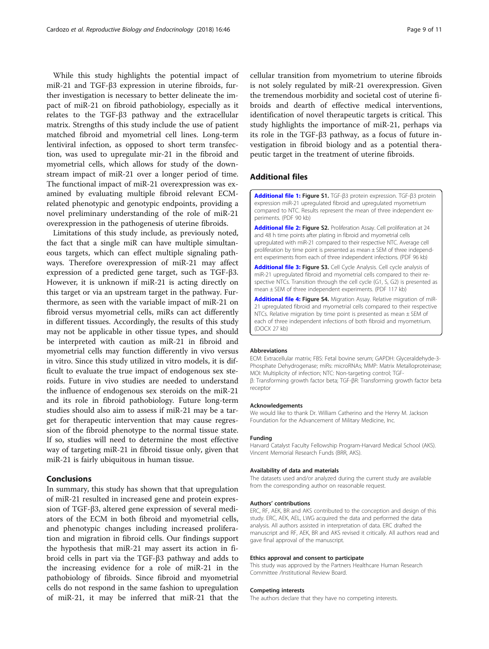<span id="page-8-0"></span>While this study highlights the potential impact of miR-21 and TGF-β3 expression in uterine fibroids, further investigation is necessary to better delineate the impact of miR-21 on fibroid pathobiology, especially as it relates to the TGF-β3 pathway and the extracellular matrix. Strengths of this study include the use of patient matched fibroid and myometrial cell lines. Long-term lentiviral infection, as opposed to short term transfection, was used to upregulate mir-21 in the fibroid and myometrial cells, which allows for study of the downstream impact of miR-21 over a longer period of time. The functional impact of miR-21 overexpression was examined by evaluating multiple fibroid relevant ECMrelated phenotypic and genotypic endpoints, providing a novel preliminary understanding of the role of miR-21 overexpression in the pathogenesis of uterine fibroids.

Limitations of this study include, as previously noted, the fact that a single miR can have multiple simultaneous targets, which can effect multiple signaling pathways. Therefore overexpression of miR-21 may affect expression of a predicted gene target, such as TGF-β3. However, it is unknown if miR-21 is acting directly on this target or via an upstream target in the pathway. Furthermore, as seen with the variable impact of miR-21 on fibroid versus myometrial cells, miRs can act differently in different tissues. Accordingly, the results of this study may not be applicable in other tissue types, and should be interpreted with caution as miR-21 in fibroid and myometrial cells may function differently in vivo versus in vitro. Since this study utilized in vitro models, it is difficult to evaluate the true impact of endogenous sex steroids. Future in vivo studies are needed to understand the influence of endogenous sex steroids on the miR-21 and its role in fibroid pathobiology. Future long-term studies should also aim to assess if miR-21 may be a target for therapeutic intervention that may cause regression of the fibroid phenotype to the normal tissue state. If so, studies will need to determine the most effective way of targeting miR-21 in fibroid tissue only, given that miR-21 is fairly ubiquitous in human tissue.

# Conclusions

In summary, this study has shown that that upregulation of miR-21 resulted in increased gene and protein expression of TGF-β3, altered gene expression of several mediators of the ECM in both fibroid and myometrial cells, and phenotypic changes including increased proliferation and migration in fibroid cells. Our findings support the hypothesis that miR-21 may assert its action in fibroid cells in part via the TGF-β3 pathway and adds to the increasing evidence for a role of miR-21 in the pathobiology of fibroids. Since fibroid and myometrial cells do not respond in the same fashion to upregulation of miR-21, it may be inferred that miR-21 that the

cellular transition from myometrium to uterine fibroids is not solely regulated by miR-21 overexpression. Given the tremendous morbidity and societal cost of uterine fibroids and dearth of effective medical interventions, identification of novel therapeutic targets is critical. This study highlights the importance of miR-21, perhaps via its role in the TGF-β3 pathway, as a focus of future investigation in fibroid biology and as a potential therapeutic target in the treatment of uterine fibroids.

# Additional files

[Additional file 1:](https://doi.org/10.1186/s12958-018-0364-8) Figure S1. TGF-β3 protein expression. TGF-β3 protein expression miR-21 upregulated fibroid and upregulated myometrium compared to NTC. Results represent the mean of three independent experiments. (PDF 90 kb)

[Additional file 2:](https://doi.org/10.1186/s12958-018-0364-8) Figure S2. Proliferation Assay. Cell proliferation at 24 and 48 h time points after plating in fibroid and myometrial cells upregulated with miR-21 compared to their respective NTC. Average cell proliferation by time point is presented as mean ± SEM of three independent experiments from each of three independent infections. (PDF 96 kb)

[Additional file 3:](https://doi.org/10.1186/s12958-018-0364-8) Figure S3. Cell Cycle Analysis. Cell cycle analysis of miR-21 upregulated fibroid and myometrial cells compared to their respective NTCs. Transition through the cell cycle (G1, S, G2) is presented as mean ± SEM of three independent experiments. (PDF 117 kb)

[Additional file 4:](https://doi.org/10.1186/s12958-018-0364-8) Figure S4. Migration Assay. Relative migration of miR-21 upregulated fibroid and myometrial cells compared to their respective NTCs. Relative migration by time point is presented as mean ± SEM of each of three independent infections of both fibroid and myometrium. (DOCX 27 kb)

#### Abbreviations

ECM: Extracellular matrix; FBS: Fetal bovine serum; GAPDH: Glyceraldehyde-3- Phosphate Dehydrogenase; miRs: microRNAs; MMP: Matrix Metalloproteinase; MOI: Multiplicity of infection; NTC: Non-targeting control; TGFβ: Transforming growth factor beta; TGF-βR: Transforming growth factor beta receptor

#### Acknowledgements

We would like to thank Dr. William Catherino and the Henry M. Jackson Foundation for the Advancement of Military Medicine, Inc.

#### Funding

Harvard Catalyst Faculty Fellowship Program-Harvard Medical School (AKS). Vincent Memorial Research Funds (BRR, AKS).

#### Availability of data and materials

The datasets used and/or analyzed during the current study are available from the corresponding author on reasonable request.

#### Authors' contributions

ERC, RF, AEK, BR and AKS contributed to the conception and design of this study. ERC, AEK, AEL, LWG acquired the data and performed the data analysis. All authors assisted in interpretation of data. ERC drafted the manuscript and RF, AEK, BR and AKS revised it critically. All authors read and gave final approval of the manuscript.

#### Ethics approval and consent to participate

This study was approved by the Partners Healthcare Human Research Committee /Institutional Review Board.

#### Competing interests

The authors declare that they have no competing interests.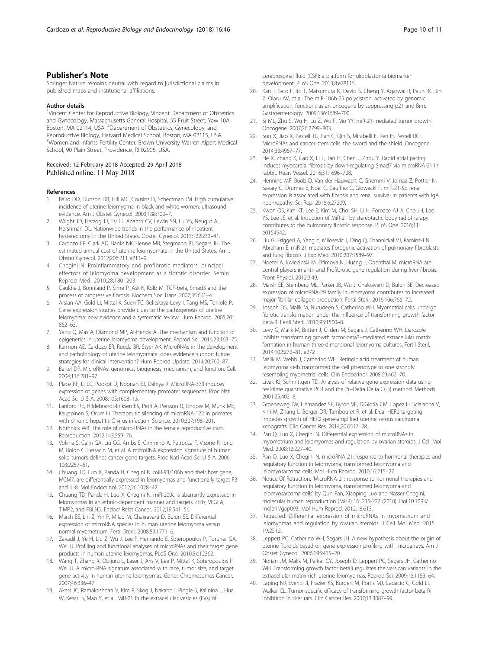<span id="page-9-0"></span>Springer Nature remains neutral with regard to jurisdictional claims in published maps and institutional affiliations.

#### Author details

<sup>1</sup>Vincent Center for Reproductive Biology, Vincent Department of Obstetrics and Gynecology, Massachusetts General Hospital, 55 Fruit Street, Yaw 10A, Boston, MA 02114, USA. <sup>2</sup>Department of Obstetrics, Gynecology, and Reproductive Biology, Harvard Medical School, Boston, MA 02115, USA. <sup>3</sup>Women and Infants Fertility Center, Brown University Warren Alpert Medical School, 90 Plain Street, Providence, RI 02905, USA.

## Received: 12 February 2018 Accepted: 29 April 2018 Published online: 11 May 2018

#### References

- 1. Baird DD, Dunson DB, Hill MC, Cousins D, Schectman JM. High cumulative incidence of uterine leiomyoma in black and white women: ultrasound evidence. Am J Obstet Gynecol. 2003;188:100–7.
- 2. Wright JD, Herzog TJ, Tsui J, Ananth CV, Lewin SN, Lu YS, Neugut AI, Hershman DL. Nationwide trends in the performance of inpatient hysterectomy in the United States. Obstet Gynecol. 2013;122:233–41.
- 3. Cardozo ER, Clark AD, Banks NK, Henne MB, Stegmann BJ, Segars JH. The estimated annual cost of uterine leiomyomata in the United States. Am J Obstet Gynecol. 2012;206:211 e211–9.
- 4. Chegini N. Proinflammatory and profibrotic mediators: principal effectors of leiomyoma development as a fibrotic disorder. Semin Reprod Med. 2010;28:180–203.
- 5. Gauldie J, Bonniaud P, Sime P, Ask K, Kolb M. TGF-beta, Smad3 and the process of progressive fibrosis. Biochem Soc Trans. 2007;35:661–4.
- Arslan AA, Gold LI, Mittal K, Suen TC, Belitskaya-Levy I, Tang MS, Toniolo P. Gene expression studies provide clues to the pathogenesis of uterine leiomyoma: new evidence and a systematic review. Hum Reprod. 2005;20: 852–63.
- 7. Yang Q, Mas A, Diamond MP, Al-Hendy A. The mechanism and function of epigenetics in uterine leiomyoma development. Reprod Sci. 2016;23:163–75.
- 8. Karmon AE, Cardozo ER, Rueda BR, Styer AK. MicroRNAs in the development and pathobiology of uterine leiomyomata: does evidence support future strategies for clinical intervention? Hum Reprod Update. 2014;20:760–87.
- 9. Bartel DP. MicroRNAs: genomics, biogenesis, mechanism, and function. Cell. 2004;116:281–97.
- 10. Place RF, Li LC, Pookot D, Noonan EJ, Dahiya R. MicroRNA-373 induces expression of genes with complementary promoter sequences. Proc Natl Acad Sci U S A. 2008;105:1608–13.
- 11. Lanford RE, Hildebrandt-Eriksen ES, Petri A, Persson R, Lindow M, Munk ME, Kauppinen S, Orum H. Therapeutic silencing of microRNA-122 in primates with chronic hepatitis C virus infection. Science. 2010;327:198–201.
- 12. Nothnick WB. The role of micro-RNAs in the female reproductive tract. Reproduction. 2012;143:559–76.
- 13. Volinia S, Calin GA, Liu CG, Ambs S, Cimmino A, Petrocca F, Visone R, Iorio M, Roldo C, Ferracin M, et al. A microRNA expression signature of human solid tumors defines cancer gene targets. Proc Natl Acad Sci U S A. 2006; 103:2257–61.
- 14. Chuang TD, Luo X, Panda H, Chegini N. miR-93/106b and their host gene. MCM7, are differentially expressed in leiomyomas and functionally target F3 and IL-8. Mol Endocrinol. 2012;26:1028–42.
- 15. Chuang TD, Panda H, Luo X, Chegini N. miR-200c is aberrantly expressed in leiomyomas in an ethnic-dependent manner and targets ZEBs, VEGFA, TIMP2, and FBLN5. Endocr Relat Cancer. 2012;19:541–56.
- 16. Marsh EE, Lin Z, Yin P, Milad M, Chakravarti D, Bulun SE. Differential expression of microRNA species in human uterine leiomyoma versus normal myometrium. Fertil Steril. 2008;89:1771–6.
- 17. Zavadil J, Ye H, Liu Z, Wu J, Lee P, Hernando E, Soteropoulos P, Toruner GA, Wei JJ. Profiling and functional analyses of microRNAs and their target gene products in human uterine leiomyomas. PLoS One. 2010;5:e12362.
- 18. Wang T, Zhang X, Obijuru L, Laser J, Aris V, Lee P, Mittal K, Soteropoulos P, Wei JJ. A micro-RNA signature associated with race, tumor size, and target gene activity in human uterine leiomyomas. Genes Chromosomes Cancer. 2007;46:336–47.
- 19. Akers JC, Ramakrishnan V, Kim R, Skog J, Nakano I, Pingle S, Kalinina J, Hua W, Kesari S, Mao Y, et al. MiR-21 in the extracellular vesicles (EVs) of

cerebrospinal fluid (CSF): a platform for glioblastoma biomarker development. PLoS One. 2013;8:e78115.

- 20. Kan T, Sato F, Ito T, Matsumura N, David S, Cheng Y, Agarwal R, Paun BC, Jin Z, Olaru AV, et al. The miR-106b-25 polycistron, activated by genomic amplification, functions as an oncogene by suppressing p21 and Bim. Gastroenterology. 2009;136:1689–700.
- 21. Si ML, Zhu S, Wu H, Lu Z, Wu F, Mo YY. miR-21-mediated tumor growth. Oncogene. 2007;26:2799–803.
- 22. Sun X, Jiao X, Pestell TG, Fan C, Qin S, Mirabelli E, Ren H, Pestell RG. MicroRNAs and cancer stem cells: the sword and the shield. Oncogene. 2014;33:4967–77.
- 23. He X, Zhang K, Gao X, Li L, Tan H, Chen J, Zhou Y. Rapid atrial pacing induces myocardial fibrosis by down-regulating Smad7 via microRNA-21 in rabbit. Heart Vessel. 2016;31:1696–708.
- 24. Hennino MF, Buob D, Van der Hauwaert C, Gnemmi V, Jomaa Z, Pottier N, Savary G, Drumez E, Noel C, Cauffiez C, Glowacki F. miR-21-5p renal expression is associated with fibrosis and renal survival in patients with IgA nephropathy. Sci Rep. 2016;6:27209.
- 25. Kwon OS, Kim KT, Lee E, Kim M, Choi SH, Li H, Fornace AJ Jr, Cho JH, Lee YS, Lee JS, et al. Induction of MiR-21 by stereotactic body radiotherapy contributes to the pulmonary fibrotic response. PLoS One. 2016;11: e0154942.
- 26. Liu G, Friggeri A, Yang Y, Milosevic J, Ding Q, Thannickal VJ, Kaminski N, Abraham E. miR-21 mediates fibrogenic activation of pulmonary fibroblasts and lung fibrosis. J Exp Med. 2010;207:1589–97.
- 27. Noetel A, Kwiecinski M, Elfimova N, Huang J, Odenthal M. microRNA are central players in anti- and Profibrotic gene regulation during liver fibrosis. Front Physiol. 2012;3:49.
- 28. Marsh EE, Steinberg ML, Parker JB, Wu J, Chakravarti D, Bulun SE. Decreased expression of microRNA-29 family in leiomyoma contributes to increased major fibrillar collagen production. Fertil Steril. 2016;106:766–72.
- 29. Joseph DS, Malik M, Nurudeen S, Catherino WH. Myometrial cells undergo fibrotic transformation under the influence of transforming growth factor beta-3. Fertil Steril. 2010;93:1500–8.
- 30. Levy G, Malik M, Britten J, Gilden M, Segars J, Catherino WH. Liarozole inhibits transforming growth factor-beta3–mediated extracellular matrix formation in human three-dimensional leiomyoma cultures. Fertil Steril. 2014;102:272–81. e272
- 31. Malik M, Webb J, Catherino WH. Retinoic acid treatment of human leiomyoma cells transformed the cell phenotype to one strongly resembling myometrial cells. Clin Endocrinol. 2008;69:462–70.
- 32. Livak KJ, Schmittgen TD. Analysis of relative gene expression data using real-time quantitative PCR and the 2(−Delta Delta C(T)) method. Methods. 2001;25:402–8.
- 33. Groeneweg JW, Hernandez SF, Byron VF, DiGloria CM, Lopez H, Scialabba V, Kim M, Zhang L, Borger DR, Tambouret R, et al. Dual HER2 targeting impedes growth of HER2 gene-amplified uterine serous carcinoma xenografts. Clin Cancer Res. 2014;20:6517–28.
- 34. Pan Q, Luo X, Chegini N. Differential expression of microRNAs in myometrium and leiomyomas and regulation by ovarian steroids. J Cell Mol Med. 2008;12:227–40.
- 35. Pan Q, Luo X, Chegini N. microRNA 21: response to hormonal therapies and regulatory function in leiomyoma, transformed leiomyoma and leiomyosarcoma cells. Mol Hum Reprod. 2010;16:215–27.
- 36. Notice Of Retraction. 'MicroRNA 21: response to hormonal therapies and regulatory function in leiomyoma, transformed leiomyoma and leiomyosarcoma cells' by Qun Pan, Xiaoping Luo and Nasser Chegini, molecular human reproduction (MHR) 16: 215-227 (2010). Doi:10.1093/ molehr/gap093. Mol Hum Reprod. 2012;18:613.
- 37. Retracted. Differential expression of microRNAs in myometrium and leiomyomas and regulation by ovarian steroids. J Cell Mol Med. 2015; 19:2512.
- 38. Leppert PC, Catherino WH, Segars JH. A new hypothesis about the origin of uterine fibroids based on gene expression profiling with microarrays. Am J Obstet Gynecol. 2006;195:415–20.
- 39. Norian JM, Malik M, Parker CY, Joseph D, Leppert PC, Segars JH, Catherino WH. Transforming growth factor beta3 regulates the versican variants in the extracellular matrix-rich uterine leiomyomas. Reprod Sci. 2009;16:1153–64.
- 40. Laping NJ, Everitt JI, Frazier KS, Burgert M, Portis MJ, Cadacio C, Gold LI, Walker CL. Tumor-specific efficacy of transforming growth factor-beta RI inhibition in Eker rats. Clin Cancer Res. 2007;13:3087–99.